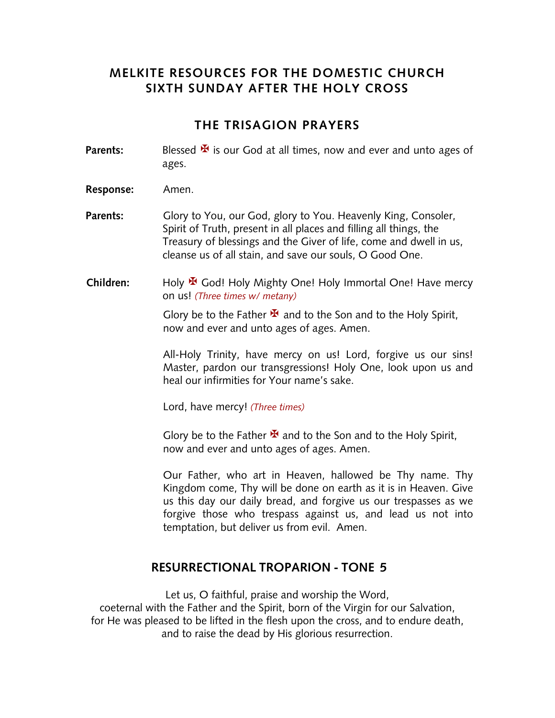## **MELKITE RESOURCES FOR THE DOMESTIC CHURCH SIXTH SUNDAY AFTER THE HOLY CROSS**

#### **THE TRISAGION PRAYERS**

- **Parents:** Blessed  $\mathbf{\mathbf{\mathbf{\Psi}}}$  is our God at all times, now and ever and unto ages of ages.
- **Response:** Amen.
- Parents: Glory to You, our God, glory to You. Heavenly King, Consoler, Spirit of Truth, present in all places and filling all things, the Treasury of blessings and the Giver of life, come and dwell in us, cleanse us of all stain, and save our souls, O Good One.
- Children: Holy <sup>★</sup> God! Holy Mighty One! Holy Immortal One! Have mercy on us! *(Three times w/ metany)*

Glory be to the Father  $\mathbf{\Psi}$  and to the Son and to the Holy Spirit, now and ever and unto ages of ages. Amen.

All-Holy Trinity, have mercy on us! Lord, forgive us our sins! Master, pardon our transgressions! Holy One, look upon us and heal our infirmities for Your name's sake.

Lord, have mercy! *(Three times)*

Glory be to the Father  $\mathbf{\Sigma}$  and to the Son and to the Holy Spirit, now and ever and unto ages of ages. Amen.

Our Father, who art in Heaven, hallowed be Thy name. Thy Kingdom come, Thy will be done on earth as it is in Heaven. Give us this day our daily bread, and forgive us our trespasses as we forgive those who trespass against us, and lead us not into temptation, but deliver us from evil. Amen.

#### **RESURRECTIONAL TROPARION - TONE 5**

Let us, O faithful, praise and worship the Word, coeternal with the Father and the Spirit, born of the Virgin for our Salvation, for He was pleased to be lifted in the flesh upon the cross, and to endure death, and to raise the dead by His glorious resurrection.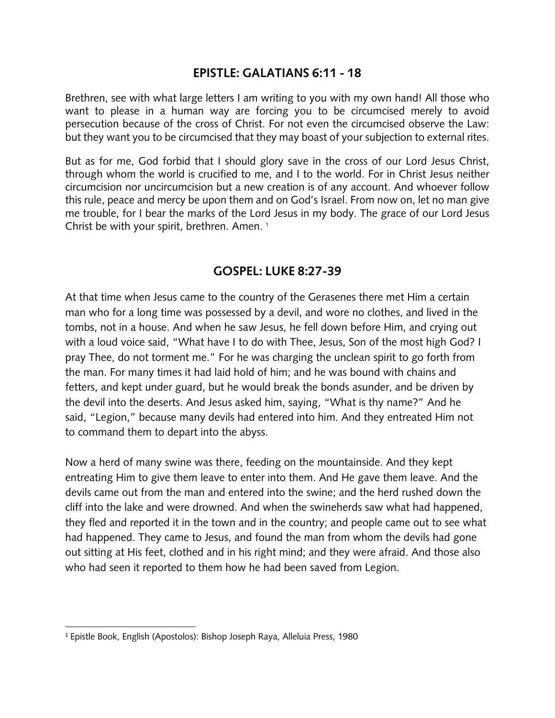#### **EPISTLE: GALATIANS 6:11 - 18**

Brethren, see with what large letters I am writing to you with my own hand! All those who want to please in a human way are forcing you to be circumcised merely to avoid persecution because of the cross of Christ. For not even the circumcised observe the Law: but they want you to be circumcised that they may boast of your subjection to external rites.

But as for me, God forbid that I should glory save in the cross of our Lord Jesus Christ, through whom the world is crucified to me, and I to the world. For in Christ Jesus neither circumcision nor uncircumcision but a new creation is of any account. And whoever follow this rule, peace and mercy be upon them and on God's Israel. From now on, let no man give me trouble, for I bear the marks of the Lord Jesus in my body. The grace of our Lord Jesus Christ be with your spirit, brethren. Amen. <sup>1</sup>

### **GOSPEL: LUKE 8:27-39**

At that time when Jesus came to the country of the Gerasenes there met Him a certain man who for a long time was possessed by a devil, and wore no clothes, and lived in the tombs, not in a house. And when he saw Jesus, he fell down before Him, and crying out with a loud voice said, "What have I to do with Thee, Jesus, Son of the most high God? I pray Thee, do not torment me." For he was charging the unclean spirit to go forth from the man. For many times it had laid hold of him; and he was bound with chains and fetters, and kept under guard, but he would break the bonds asunder, and be driven by the devil into the deserts. And Jesus asked him, saying, "What is thy name?" And he said, "Legion," because many devils had entered into him. And they entreated Him not to command them to depart into the abyss.

Now a herd of many swine was there, feeding on the mountainside. And they kept entreating Him to give them leave to enter into them. And He gave them leave. And the devils came out from the man and entered into the swine; and the herd rushed down the cliff into the lake and were drowned. And when the swineherds saw what had happened, they fled and reported it in the town and in the country; and people came out to see what had happened. They came to Jesus, and found the man from whom the devils had gone out sitting at His feet, clothed and in his right mind; and they were afraid. And those also who had seen it reported to them how he had been saved from Legion.

<sup>1</sup> Epistle Book, English (Apostolos): Bishop Joseph Raya, Alleluia Press, 1980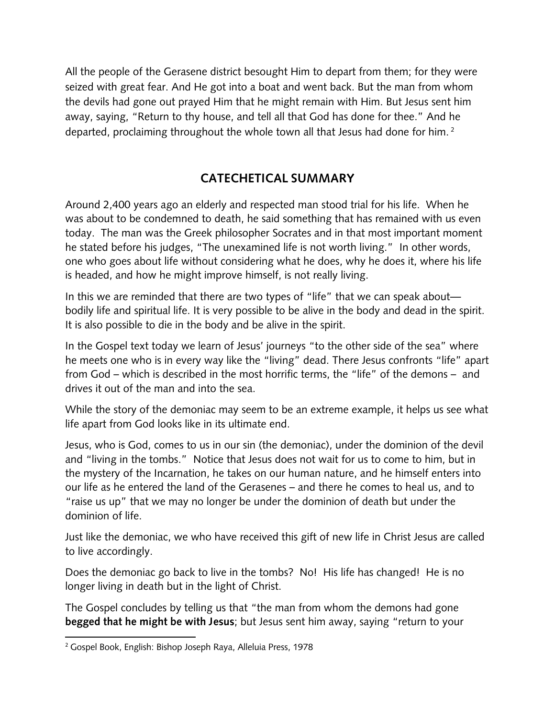All the people of the Gerasene district besought Him to depart from them; for they were seized with great fear. And He got into a boat and went back. But the man from whom the devils had gone out prayed Him that he might remain with Him. But Jesus sent him away, saying, "Return to thy house, and tell all that God has done for thee." And he departed, proclaiming throughout the whole town all that Jesus had done for him.<sup>2</sup>

# **CATECHETICAL SUMMARY**

Around 2,400 years ago an elderly and respected man stood trial for his life. When he was about to be condemned to death, he said something that has remained with us even today. The man was the Greek philosopher Socrates and in that most important moment he stated before his judges, "The unexamined life is not worth living." In other words, one who goes about life without considering what he does, why he does it, where his life is headed, and how he might improve himself, is not really living.

In this we are reminded that there are two types of "life" that we can speak about bodily life and spiritual life. It is very possible to be alive in the body and dead in the spirit. It is also possible to die in the body and be alive in the spirit.

In the Gospel text today we learn of Jesus' journeys "to the other side of the sea" where he meets one who is in every way like the "living" dead. There Jesus confronts "life" apart from God – which is described in the most horrific terms, the "life" of the demons – and drives it out of the man and into the sea.

While the story of the demoniac may seem to be an extreme example, it helps us see what life apart from God looks like in its ultimate end.

Jesus, who is God, comes to us in our sin (the demoniac), under the dominion of the devil and "living in the tombs." Notice that Jesus does not wait for us to come to him, but in the mystery of the Incarnation, he takes on our human nature, and he himself enters into our life as he entered the land of the Gerasenes – and there he comes to heal us, and to "raise us up" that we may no longer be under the dominion of death but under the dominion of life.

Just like the demoniac, we who have received this gift of new life in Christ Jesus are called to live accordingly.

Does the demoniac go back to live in the tombs? No! His life has changed! He is no longer living in death but in the light of Christ.

The Gospel concludes by telling us that "the man from whom the demons had gone **begged that he might be with Jesus**; but Jesus sent him away, saying "return to your

<sup>2</sup> Gospel Book, English: Bishop Joseph Raya, Alleluia Press, 1978